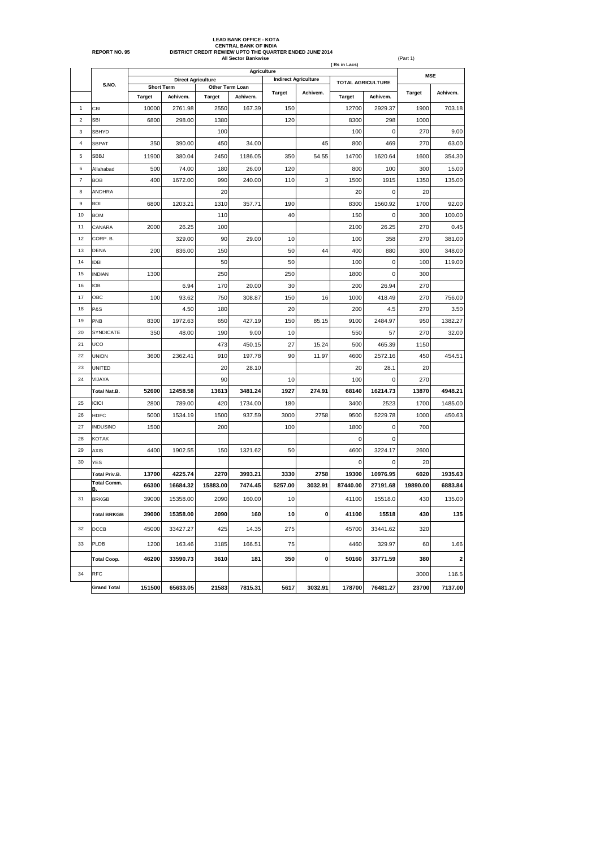|            | <b>All Sector Bankwise</b><br>(Rs in Lacs)<br>Agriculture |               |                           |                 |          |               |                             |                          |             |               | (Part 1)    |  |  |  |
|------------|-----------------------------------------------------------|---------------|---------------------------|-----------------|----------|---------------|-----------------------------|--------------------------|-------------|---------------|-------------|--|--|--|
|            |                                                           |               | <b>Direct Agriculture</b> |                 |          |               | <b>Indirect Agriculture</b> |                          |             | <b>MSE</b>    |             |  |  |  |
|            | S.NO.                                                     |               | <b>Short Term</b>         | Other Term Loan |          |               |                             | <b>TOTAL AGRICULTURE</b> |             |               |             |  |  |  |
|            |                                                           | <b>Target</b> | Achivem.                  | <b>Target</b>   | Achivem. | <b>Target</b> | Achivem.                    | <b>Target</b>            | Achivem.    | <b>Target</b> | Achivem.    |  |  |  |
| 1          | CBI                                                       | 10000         | 2761.98                   | 2550            | 167.39   | 150           |                             | 12700                    | 2929.37     | 1900          | 703.18      |  |  |  |
| $\sqrt{2}$ | <b>SBI</b>                                                | 6800          | 298.00                    | 1380            |          | 120           |                             | 8300                     | 298         | 1000          |             |  |  |  |
| 3          | SBHYD                                                     |               |                           | 100             |          |               |                             | 100                      | $\mathbf 0$ | 270           | 9.00        |  |  |  |
| 4          | <b>SBPAT</b>                                              | 350           | 390.00                    | 450             | 34.00    |               | 45                          | 800                      | 469         | 270           | 63.00       |  |  |  |
| 5          | SBBJ                                                      | 11900         | 380.04                    | 2450            | 1186.05  | 350           | 54.55                       | 14700                    | 1620.64     | 1600          | 354.30      |  |  |  |
| 6          | Allahabad                                                 | 500           | 74.00                     | 180             | 26.00    | 120           |                             | 800                      | 100         | 300           | 15.00       |  |  |  |
| 7          | <b>BOB</b>                                                | 400           | 1672.00                   | 990             | 240.00   | 110           | 3                           | 1500                     | 1915        | 1350          | 135.00      |  |  |  |
| 8          | <b>ANDHRA</b>                                             |               |                           | 20              |          |               |                             | 20                       | $\mathbf 0$ | 20            |             |  |  |  |
| 9          | <b>BOI</b>                                                | 6800          | 1203.21                   | 1310            | 357.71   | 190           |                             | 8300                     | 1560.92     | 1700          | 92.00       |  |  |  |
| 10         | <b>BOM</b>                                                |               |                           | 110             |          | 40            |                             | 150                      | $\mathbf 0$ | 300           | 100.00      |  |  |  |
| 11         | CANARA                                                    | 2000          | 26.25                     | 100             |          |               |                             | 2100                     | 26.25       | 270           | 0.45        |  |  |  |
| 12         | CORP. B.                                                  |               | 329.00                    | 90              | 29.00    | 10            |                             | 100                      | 358         | 270           | 381.00      |  |  |  |
| 13         | <b>DENA</b>                                               | 200           | 836.00                    | 150             |          | 50            | 44                          | 400                      | 880         | 300           | 348.00      |  |  |  |
| 14         | <b>IDBI</b>                                               |               |                           | 50              |          | 50            |                             | 100                      | $\mathbf 0$ | 100           | 119.00      |  |  |  |
| 15         | <b>INDIAN</b>                                             | 1300          |                           | 250             |          | 250           |                             | 1800                     | $\mathbf 0$ | 300           |             |  |  |  |
| 16         | <b>IOB</b>                                                |               | 6.94                      | 170             | 20.00    | 30            |                             | 200                      | 26.94       | 270           |             |  |  |  |
| 17         | OBC                                                       | 100           | 93.62                     | 750             | 308.87   | 150           | 16                          | 1000                     | 418.49      | 270           | 756.00      |  |  |  |
| 18         | P&S                                                       |               | 4.50                      | 180             |          | 20            |                             | 200                      | 4.5         | 270           | 3.50        |  |  |  |
| 19         | PNB                                                       | 8300          | 1972.63                   | 650             | 427.19   | 150           | 85.15                       | 9100                     | 2484.97     | 950           | 1382.27     |  |  |  |
| 20         | SYNDICATE                                                 | 350           | 48.00                     | 190             | 9.00     | 10            |                             | 550                      | 57          | 270           | 32.00       |  |  |  |
| 21         | UCO                                                       |               |                           | 473             | 450.15   | 27            | 15.24                       | 500                      | 465.39      | 1150          |             |  |  |  |
| 22         | <b>UNION</b>                                              | 3600          | 2362.41                   | 910             | 197.78   | 90            | 11.97                       | 4600                     | 2572.16     | 450           | 454.51      |  |  |  |
| 23         | UNITED                                                    |               |                           | 20              | 28.10    |               |                             | 20                       | 28.1        | 20            |             |  |  |  |
| 24         | VIJAYA                                                    |               |                           | 90              |          | 10            |                             | 100                      | 0           | 270           |             |  |  |  |
|            | <b>Total Nat.B.</b>                                       | 52600         | 12458.58                  | 13613           | 3481.24  | 1927          | 274.91                      | 68140                    | 16214.73    | 13870         | 4948.21     |  |  |  |
| 25         | <b>ICICI</b>                                              | 2800          | 789.00                    | 420             | 1734.00  | 180           |                             | 3400                     | 2523        | 1700          | 1485.00     |  |  |  |
| 26         | <b>HDFC</b>                                               | 5000          | 1534.19                   | 1500            | 937.59   | 3000          | 2758                        | 9500                     | 5229.78     | 1000          | 450.63      |  |  |  |
| 27         | <b>INDUSIND</b>                                           | 1500          |                           | 200             |          | 100           |                             | 1800                     | 0           | 700           |             |  |  |  |
| 28         | <b>KOTAK</b>                                              |               |                           |                 |          |               |                             | 0                        | $\mathbf 0$ |               |             |  |  |  |
| 29         | <b>AXIS</b>                                               | 4400          | 1902.55                   | 150             | 1321.62  | 50            |                             | 4600                     | 3224.17     | 2600          |             |  |  |  |
| 30         | <b>YES</b>                                                |               |                           |                 |          |               |                             | 0                        | 0           | 20            |             |  |  |  |
|            | <b>Total Priv.B.</b>                                      | 13700         | 4225.74                   | 2270            | 3993.21  | 3330          | 2758                        | 19300                    | 10976.95    | 6020          | 1935.63     |  |  |  |
|            | <b>Total Comm.</b><br>в                                   | 66300         | 16684.32                  | 15883.00        | 7474.45  | 5257.00       | 3032.91                     | 87440.00                 | 27191.68    | 19890.00      | 6883.84     |  |  |  |
| 31         | <b>BRKGB</b>                                              | 39000         | 15358.00                  | 2090            | 160.00   | 10            |                             | 41100                    | 15518.0     | 430           | 135.00      |  |  |  |
|            | <b>Total BRKGB</b>                                        | 39000         | 15358.00                  | 2090            | 160      | 10            | 0                           | 41100                    | 15518       | 430           | 135         |  |  |  |
| 32         | DCCB                                                      | 45000         | 33427.27                  | 425             | 14.35    | 275           |                             | 45700                    | 33441.62    | 320           |             |  |  |  |
| 33         | PLDB                                                      | 1200          | 163.46                    | 3185            | 166.51   | 75            |                             | 4460                     | 329.97      | 60            | 1.66        |  |  |  |
|            | <b>Total Coop.</b>                                        | 46200         | 33590.73                  | 3610            | 181      | 350           | 0                           | 50160                    | 33771.59    | 380           | $\mathbf 2$ |  |  |  |
| 34         | RFC                                                       |               |                           |                 |          |               |                             |                          |             | 3000          | 116.5       |  |  |  |
|            | <b>Grand Total</b>                                        | 151500        | 65633.05                  | 21583           | 7815.31  | 5617          | 3032.91                     | 178700                   | 76481.27    | 23700         | 7137.00     |  |  |  |

## **REPORT NO. 95 DISTRICT CREDIT REWIEW UPTO THE QUARTER ENDED JUNE'2014 LEAD BANK OFFICE - KOTA<br>CENTRAL BANK OF INDIA**